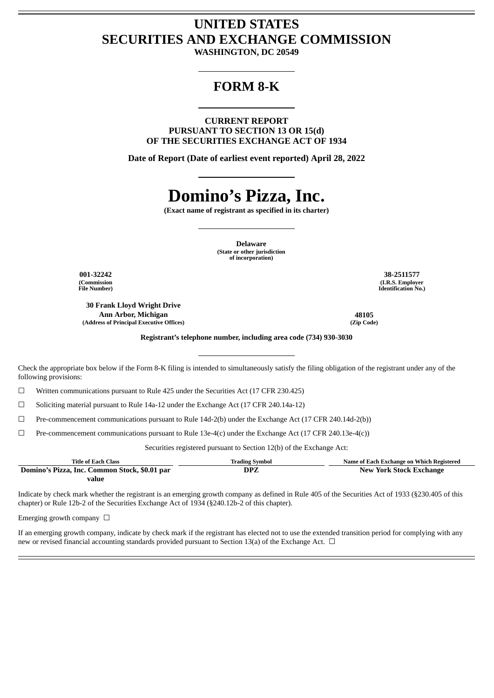# **UNITED STATES SECURITIES AND EXCHANGE COMMISSION**

**WASHINGTON, DC 20549**

# **FORM 8-K**

**CURRENT REPORT PURSUANT TO SECTION 13 OR 15(d) OF THE SECURITIES EXCHANGE ACT OF 1934**

**Date of Report (Date of earliest event reported) April 28, 2022**

# **Domino's Pizza, Inc.**

**(Exact name of registrant as specified in its charter)**

**Delaware (State or other jurisdiction of incorporation)**

**(Commission File Number)**

> **30 Frank Lloyd Wright Drive Ann Arbor, Michigan 48105 (Address of Principal Executive Offices) (Zip Code)**

**001-32242 38-2511577 (I.R.S. Employer Identification No.)**

**Registrant's telephone number, including area code (734) 930-3030**

Check the appropriate box below if the Form 8-K filing is intended to simultaneously satisfy the filing obligation of the registrant under any of the following provisions:

 $\Box$  Written communications pursuant to Rule 425 under the Securities Act (17 CFR 230.425)

 $\Box$  Soliciting material pursuant to Rule 14a-12 under the Exchange Act (17 CFR 240.14a-12)

 $\Box$  Pre-commencement communications pursuant to Rule 14d-2(b) under the Exchange Act (17 CFR 240.14d-2(b))

 $\Box$  Pre-commencement communications pursuant to Rule 13e-4(c) under the Exchange Act (17 CFR 240.13e-4(c))

Securities registered pursuant to Section 12(b) of the Exchange Act:

| Title of Each Class                           | <b>Trading Symbol</b> | Name of Each Exchange on Which Registered |
|-----------------------------------------------|-----------------------|-------------------------------------------|
| Domino's Pizza, Inc. Common Stock, \$0.01 par | DPZ                   | <b>New York Stock Exchange</b>            |
| value                                         |                       |                                           |

Indicate by check mark whether the registrant is an emerging growth company as defined in Rule 405 of the Securities Act of 1933 (§230.405 of this chapter) or Rule 12b-2 of the Securities Exchange Act of 1934 (§240.12b-2 of this chapter).

Emerging growth company  $\Box$ 

If an emerging growth company, indicate by check mark if the registrant has elected not to use the extended transition period for complying with any new or revised financial accounting standards provided pursuant to Section 13(a) of the Exchange Act.  $\Box$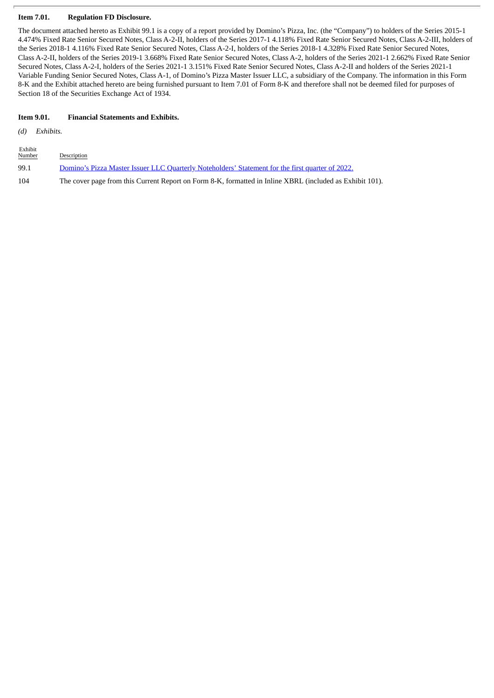#### **Item 7.01. Regulation FD Disclosure.**

The document attached hereto as Exhibit 99.1 is a copy of a report provided by Domino's Pizza, Inc. (the "Company") to holders of the Series 2015-1 4.474% Fixed Rate Senior Secured Notes, Class A-2-II, holders of the Series 2017-1 4.118% Fixed Rate Senior Secured Notes, Class A-2-III, holders of the Series 2018-1 4.116% Fixed Rate Senior Secured Notes, Class A-2-I, holders of the Series 2018-1 4.328% Fixed Rate Senior Secured Notes, Class A-2-II, holders of the Series 2019-1 3.668% Fixed Rate Senior Secured Notes, Class A-2, holders of the Series 2021-1 2.662% Fixed Rate Senior Secured Notes, Class A-2-I, holders of the Series 2021-1 3.151% Fixed Rate Senior Secured Notes, Class A-2-II and holders of the Series 2021-1 Variable Funding Senior Secured Notes, Class A-1, of Domino's Pizza Master Issuer LLC, a subsidiary of the Company. The information in this Form 8-K and the Exhibit attached hereto are being furnished pursuant to Item 7.01 of Form 8-K and therefore shall not be deemed filed for purposes of Section 18 of the Securities Exchange Act of 1934.

#### **Item 9.01. Financial Statements and Exhibits.**

*(d) Exhibits.*

| Exhibit<br>Number | Description                                                                                              |
|-------------------|----------------------------------------------------------------------------------------------------------|
| 99.1              | Domino's Pizza Master Issuer LLC Quarterly Noteholders' Statement for the first quarter of 2022.         |
| 104               | The cover page from this Current Report on Form 8-K, formatted in Inline XBRL (included as Exhibit 101). |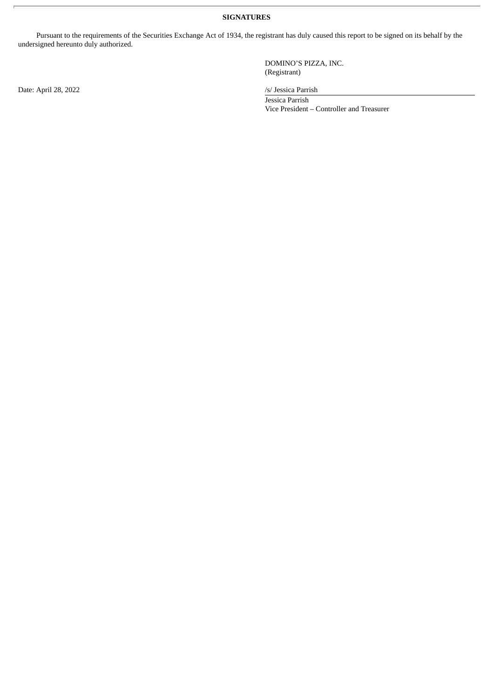**SIGNATURES**

Pursuant to the requirements of the Securities Exchange Act of 1934, the registrant has duly caused this report to be signed on its behalf by the undersigned hereunto duly authorized.

> DOMINO'S PIZZA, INC. (Registrant)

Jessica Parrish Vice President – Controller and Treasurer

Date: April 28, 2022 /s/ Jessica Parrish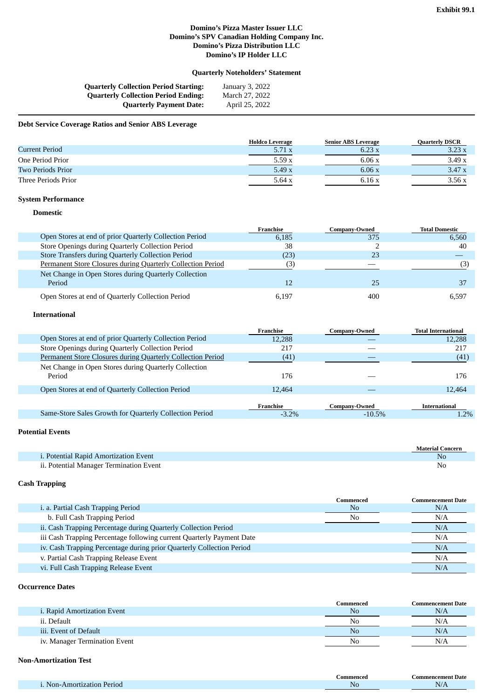# **Quarterly Noteholders' Statement**

<span id="page-3-0"></span>

| <b>Quarterly Collection Period Starting:</b> | January 3, 2022 |
|----------------------------------------------|-----------------|
| <b>Quarterly Collection Period Ending:</b>   | March 27, 2022  |
| <b>Quarterly Payment Date:</b>               | April 25, 2022  |

# **Debt Service Coverage Ratios and Senior ABS Leverage**

|                       | <b>Holdco Leverage</b> | <b>Senior ABS Leverage</b> | <b>Quarterly DSCR</b> |
|-----------------------|------------------------|----------------------------|-----------------------|
| <b>Current Period</b> | 5.71x                  | 6.23x                      | 3.23x                 |
| One Period Prior      | 5.59x                  | 6.06 x                     | 3.49x                 |
| Two Periods Prior     | 5.49x                  | 6.06 x                     | 3.47x                 |
| Three Periods Prior   | 5.64x                  | 6.16x                      | 3.56x                 |

#### **System Performance**

#### **Domestic**

|                                                             | Franchise       | Company-Owned | <b>Total Domestic</b> |
|-------------------------------------------------------------|-----------------|---------------|-----------------------|
| Open Stores at end of prior Quarterly Collection Period     | 6.185           | 375           | 6,560                 |
| Store Openings during Quarterly Collection Period           | 38              |               | 40                    |
| <b>Store Transfers during Quarterly Collection Period</b>   | (23)            | 23            |                       |
| Permanent Store Closures during Quarterly Collection Period | (3)             |               | (3)                   |
| Net Change in Open Stores during Quarterly Collection       |                 |               |                       |
| Period                                                      | 12 <sup>2</sup> | 25            |                       |
| Open Stores at end of Quarterly Collection Period           | 6.197           | 400           | 6.597                 |

# **International**

|                                                             | Franchise | <b>Company-Owned</b> | <b>Total International</b> |
|-------------------------------------------------------------|-----------|----------------------|----------------------------|
| Open Stores at end of prior Quarterly Collection Period     | 12.288    |                      | 12,288                     |
| Store Openings during Quarterly Collection Period           | 217       |                      | 217                        |
| Permanent Store Closures during Quarterly Collection Period | (41)      |                      | (41)                       |
| Net Change in Open Stores during Quarterly Collection       |           |                      |                            |
| Period                                                      | 176       |                      | 176                        |
| Open Stores at end of Quarterly Collection Period           | 12.464    |                      | 12,464                     |
|                                                             |           |                      |                            |
|                                                             | Franchise | <b>Company-Owned</b> | <b>International</b>       |
| Same-Store Sales Growth for Quarterly Collection Period     | $-3.2\%$  | $-10.5%$             | $1.2\%$                    |

#### **Potential Events**

|                                              | Material Concern |
|----------------------------------------------|------------------|
| <i>i.</i> Potential Rapid Amortization Event | No               |
| ii, Potential Manager Termination Event      | No               |

#### **Cash Trapping**

|                                                                       | Commenced | Commencement Date |
|-----------------------------------------------------------------------|-----------|-------------------|
| i. a. Partial Cash Trapping Period                                    | No        | N/A               |
| b. Full Cash Trapping Period                                          | No        | N/A               |
| ii. Cash Trapping Percentage during Quarterly Collection Period       |           | N/A               |
| iii Cash Trapping Percentage following current Quarterly Payment Date |           | N/A               |
| iv. Cash Trapping Percentage during prior Quarterly Collection Period |           | N/A               |
| v. Partial Cash Trapping Release Event                                |           | N/A               |
| vi. Full Cash Trapping Release Event                                  |           | N/A               |
|                                                                       |           |                   |

### **Occurrence Dates**

|                               | Commenced      | Commencement Date |
|-------------------------------|----------------|-------------------|
| i. Rapid Amortization Event   | N <sub>0</sub> | N/A               |
| ii. Default                   | Nο             | N/A               |
| iii. Event of Default         | No             | N/A               |
| iv. Manager Termination Event | No             | N/A               |

#### **Non-Amortization Test**

|                                | .ommenced | :ommencement<br>Jate |
|--------------------------------|-----------|----------------------|
| υ∩r<br>пос.<br>.<br>__________ | N.<br>___ | N<br>$-1$            |
|                                |           |                      |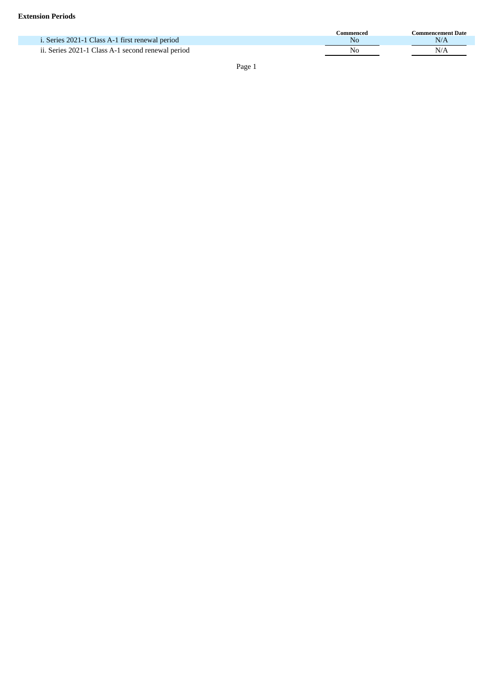|                                                   | ammenced. ' | Commencement Date |
|---------------------------------------------------|-------------|-------------------|
| i. Series 2021-1 Class A-1 first renewal period   | No          | N/A               |
| ii. Series 2021-1 Class A-1 second renewal period | Nο          | N/A               |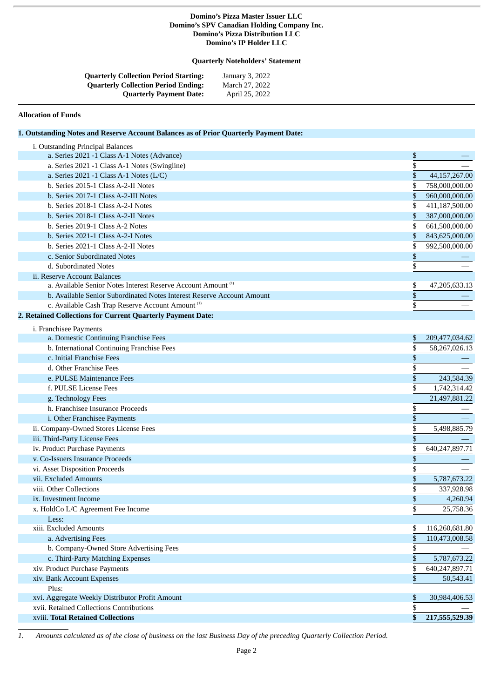#### **Quarterly Noteholders' Statement**

| <b>Quarterly Collection Period Starting:</b> | January 3, 2022 |
|----------------------------------------------|-----------------|
| <b>Quarterly Collection Period Ending:</b>   | March 27, 2022  |
| <b>Quarterly Payment Date:</b>               | April 25, 2022  |

#### **Allocation of Funds**

| 1. Outstanding Notes and Reserve Account Balances as of Prior Quarterly Payment Date: |               |                |
|---------------------------------------------------------------------------------------|---------------|----------------|
| i. Outstanding Principal Balances                                                     |               |                |
| a. Series 2021 -1 Class A-1 Notes (Advance)                                           | \$            |                |
| a. Series 2021 -1 Class A-1 Notes (Swingline)                                         | \$            |                |
| a. Series $2021 - 1$ Class A-1 Notes (L/C)                                            | \$            | 44,157,267.00  |
| b. Series 2015-1 Class A-2-II Notes                                                   | \$            | 758,000,000.00 |
| b. Series 2017-1 Class A-2-III Notes                                                  | \$            | 960,000,000.00 |
| b. Series 2018-1 Class A-2-I Notes                                                    | \$            | 411,187,500.00 |
| b. Series 2018-1 Class A-2-II Notes                                                   | \$            | 387,000,000.00 |
| b. Series 2019-1 Class A-2 Notes                                                      | \$            | 661,500,000.00 |
| b. Series 2021-1 Class A-2-I Notes                                                    | \$            | 843,625,000.00 |
| b. Series 2021-1 Class A-2-II Notes                                                   | \$            | 992,500,000.00 |
| c. Senior Subordinated Notes                                                          | \$            |                |
| d. Subordinated Notes                                                                 | \$            |                |
| ii. Reserve Account Balances                                                          |               |                |
| a. Available Senior Notes Interest Reserve Account Amount <sup>(1)</sup>              | \$            | 47,205,633.13  |
| b. Available Senior Subordinated Notes Interest Reserve Account Amount                | \$            |                |
| c. Available Cash Trap Reserve Account Amount <sup>(1)</sup>                          | \$            |                |
| 2. Retained Collections for Current Quarterly Payment Date:                           |               |                |
| i. Franchisee Payments                                                                |               |                |
| a. Domestic Continuing Franchise Fees                                                 | \$            | 209,477,034.62 |
| b. International Continuing Franchise Fees                                            | \$            | 58,267,026.13  |
| c. Initial Franchise Fees                                                             | \$            |                |
| d. Other Franchise Fees                                                               | \$            |                |
| e. PULSE Maintenance Fees                                                             | \$            | 243,584.39     |
| f. PULSE License Fees                                                                 | \$            | 1,742,314.42   |
| g. Technology Fees                                                                    |               | 21,497,881.22  |
| h. Franchisee Insurance Proceeds                                                      | \$            |                |
| i. Other Franchisee Payments                                                          | \$            |                |
| ii. Company-Owned Stores License Fees                                                 | \$            | 5,498,885.79   |
| iii. Third-Party License Fees                                                         | \$            |                |
| iv. Product Purchase Payments                                                         | \$            | 640,247,897.71 |
| v. Co-Issuers Insurance Proceeds                                                      | \$            |                |
| vi. Asset Disposition Proceeds                                                        | \$            |                |
| vii. Excluded Amounts                                                                 | \$            | 5,787,673.22   |
| viii. Other Collections                                                               | \$            | 337,928.98     |
| ix. Investment Income                                                                 | $\mathsf{\$}$ | 4,260.94       |
| x. HoldCo L/C Agreement Fee Income                                                    | \$            | 25,758.36      |
| Less:                                                                                 |               |                |
| xiii. Excluded Amounts                                                                | \$            | 116,260,681.80 |
| a. Advertising Fees                                                                   | \$            | 110,473,008.58 |
| b. Company-Owned Store Advertising Fees                                               | \$            |                |
| c. Third-Party Matching Expenses                                                      | \$            | 5,787,673.22   |
| xiv. Product Purchase Payments                                                        | \$            | 640,247,897.71 |
| xiv. Bank Account Expenses                                                            | \$            | 50,543.41      |
| Plus:                                                                                 |               |                |
| xvi. Aggregate Weekly Distributor Profit Amount                                       | \$            | 30,984,406.53  |
| xvii. Retained Collections Contributions                                              | \$            |                |
| xviii. Total Retained Collections                                                     | \$            | 217,555,529.39 |

1. Amounts calculated as of the close of business on the last Business Day of the preceding Quarterly Collection Period.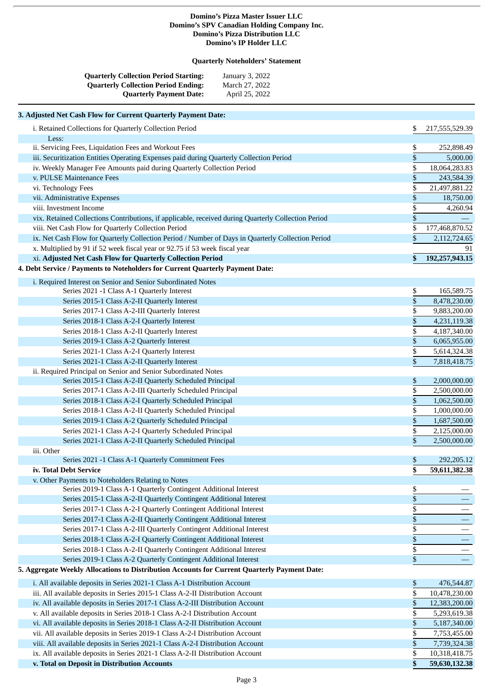# **Quarterly Noteholders' Statement**

| <b>Quarterly Collection Period Starting:</b> | January 3, 2022 |
|----------------------------------------------|-----------------|
| <b>Quarterly Collection Period Ending:</b>   | March 27, 2022  |
| <b>Quarterly Payment Date:</b>               | April 25, 2022  |

# **3. Adjusted Net Cash Flow for Current Quarterly Payment Date:**

| i. Retained Collections for Quarterly Collection Period                                                     | \$              | 217,555,529.39 |
|-------------------------------------------------------------------------------------------------------------|-----------------|----------------|
| Less:                                                                                                       |                 |                |
| ii. Servicing Fees, Liquidation Fees and Workout Fees                                                       | \$              | 252,898.49     |
| iii. Securitization Entities Operating Expenses paid during Quarterly Collection Period                     | $\overline{\$}$ | 5,000.00       |
| iv. Weekly Manager Fee Amounts paid during Quarterly Collection Period                                      | \$              | 18,064,283.83  |
| v. PULSE Maintenance Fees                                                                                   | \$              | 243,584.39     |
| vi. Technology Fees                                                                                         | \$              | 21,497,881.22  |
| vii. Administrative Expenses                                                                                | \$              | 18,750.00      |
| viii. Investment Income                                                                                     | \$              | 4,260.94       |
| vix. Retained Collections Contributions, if applicable, received during Quarterly Collection Period         | \$              |                |
| viii. Net Cash Flow for Quarterly Collection Period                                                         | \$              | 177,468,870.52 |
| ix. Net Cash Flow for Quarterly Collection Period / Number of Days in Quarterly Collection Period           | \$              | 2,112,724.65   |
| x. Multiplied by 91 if 52 week fiscal year or 92.75 if 53 week fiscal year                                  |                 | 91             |
| xi. Adjusted Net Cash Flow for Quarterly Collection Period                                                  | \$              | 192,257,943.15 |
| 4. Debt Service / Payments to Noteholders for Current Quarterly Payment Date:                               |                 |                |
|                                                                                                             |                 |                |
| i. Required Interest on Senior and Senior Subordinated Notes<br>Series 2021 -1 Class A-1 Quarterly Interest | \$              | 165,589.75     |
|                                                                                                             | \$              |                |
| Series 2015-1 Class A-2-II Quarterly Interest<br>Series 2017-1 Class A-2-III Quarterly Interest             | \$              | 8,478,230.00   |
| Series 2018-1 Class A-2-I Quarterly Interest                                                                | \$              | 9,883,200.00   |
|                                                                                                             |                 | 4,231,119.38   |
| Series 2018-1 Class A-2-II Quarterly Interest                                                               | \$              | 4,187,340.00   |
| Series 2019-1 Class A-2 Quarterly Interest                                                                  | \$              | 6,065,955.00   |
| Series 2021-1 Class A-2-I Quarterly Interest                                                                | \$              | 5,614,324.38   |
| Series 2021-1 Class A-2-II Quarterly Interest                                                               | \$              | 7,818,418.75   |
| ii. Required Principal on Senior and Senior Subordinated Notes                                              |                 |                |
| Series 2015-1 Class A-2-II Quarterly Scheduled Principal                                                    | \$              | 2,000,000.00   |
| Series 2017-1 Class A-2-III Quarterly Scheduled Principal                                                   | \$              | 2,500,000.00   |
| Series 2018-1 Class A-2-I Quarterly Scheduled Principal                                                     | \$              | 1,062,500.00   |
| Series 2018-1 Class A-2-II Quarterly Scheduled Principal                                                    | \$              | 1,000,000.00   |
| Series 2019-1 Class A-2 Quarterly Scheduled Principal                                                       | \$              | 1,687,500.00   |
| Series 2021-1 Class A-2-I Quarterly Scheduled Principal                                                     | \$              | 2,125,000.00   |
| Series 2021-1 Class A-2-II Quarterly Scheduled Principal                                                    | \$              | 2,500,000.00   |
| iii. Other                                                                                                  |                 |                |
| Series 2021 -1 Class A-1 Quarterly Commitment Fees                                                          | \$              | 292,205.12     |
| iv. Total Debt Service                                                                                      | \$              | 59,611,382.38  |
| v. Other Payments to Noteholders Relating to Notes                                                          |                 |                |
| Series 2019-1 Class A-1 Quarterly Contingent Additional Interest                                            | \$              |                |
| Series 2015-1 Class A-2-II Quarterly Contingent Additional Interest                                         | \$              |                |
| Series 2017-1 Class A-2-I Quarterly Contingent Additional Interest                                          | \$              |                |
| Series 2017-1 Class A-2-II Quarterly Contingent Additional Interest                                         | \$              |                |
| Series 2017-1 Class A-2-III Quarterly Contingent Additional Interest                                        | \$              |                |
| Series 2018-1 Class A-2-I Quarterly Contingent Additional Interest                                          | \$              |                |
| Series 2018-1 Class A-2-II Quarterly Contingent Additional Interest                                         | \$              |                |
| Series 2019-1 Class A-2 Quarterly Contingent Additional Interest                                            | \$              |                |
| 5. Aggregate Weekly Allocations to Distribution Accounts for Current Quarterly Payment Date:                |                 |                |
| i. All available deposits in Series 2021-1 Class A-1 Distribution Account                                   | \$              | 476,544.87     |
| iii. All available deposits in Series 2015-1 Class A-2-II Distribution Account                              | \$              | 10,478,230.00  |
| iv. All available deposits in Series 2017-1 Class A-2-III Distribution Account                              | \$              | 12,383,200.00  |
| v. All available deposits in Series 2018-1 Class A-2-I Distribution Account                                 | \$              | 5,293,619.38   |
| vi. All available deposits in Series 2018-1 Class A-2-II Distribution Account                               | \$              | 5,187,340.00   |
| vii. All available deposits in Series 2019-1 Class A-2-I Distribution Account                               | \$              | 7,753,455.00   |
| viii. All available deposits in Series 2021-1 Class A-2-I Distribution Account                              | \$              | 7,739,324.38   |
| ix. All available deposits in Series 2021-1 Class A-2-II Distribution Account                               | \$              | 10,318,418.75  |
| v. Total on Deposit in Distribution Accounts                                                                | \$              | 59,630,132.38  |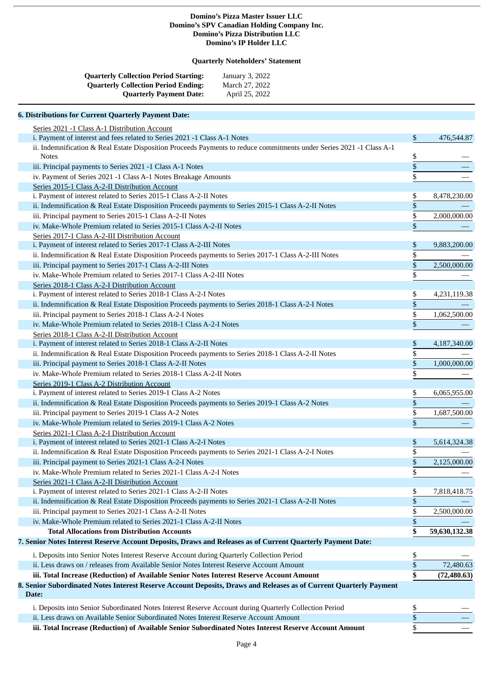# **Quarterly Noteholders' Statement**

| <b>Quarterly Collection Period Starting:</b> | January 3, 2022 |  |
|----------------------------------------------|-----------------|--|
| <b>Quarterly Collection Period Ending:</b>   | March 27, 2022  |  |
| <b>Quarterly Payment Date:</b>               | April 25, 2022  |  |

# **6. Distributions for Current Quarterly Payment Date:**

| Series 2021 -1 Class A-1 Distribution Account                                                                               |                               |               |
|-----------------------------------------------------------------------------------------------------------------------------|-------------------------------|---------------|
| i. Payment of interest and fees related to Series 2021 -1 Class A-1 Notes                                                   | \$                            | 476,544.87    |
| ii. Indemnification & Real Estate Disposition Proceeds Payments to reduce commitments under Series 2021 -1 Class A-1        |                               |               |
| <b>Notes</b>                                                                                                                | \$                            |               |
| iii. Principal payments to Series 2021 -1 Class A-1 Notes                                                                   | \$                            |               |
| iv. Payment of Series 2021 -1 Class A-1 Notes Breakage Amounts                                                              | \$                            |               |
| Series 2015-1 Class A-2-II Distribution Account                                                                             |                               |               |
| i. Payment of interest related to Series 2015-1 Class A-2-II Notes                                                          | \$                            | 8,478,230.00  |
| ii. Indemnification & Real Estate Disposition Proceeds payments to Series 2015-1 Class A-2-II Notes                         | \$                            |               |
| iii. Principal payment to Series 2015-1 Class A-2-II Notes                                                                  | \$                            | 2,000,000.00  |
| iv. Make-Whole Premium related to Series 2015-1 Class A-2-II Notes                                                          | \$                            |               |
| Series 2017-1 Class A-2-III Distribution Account                                                                            |                               |               |
| i. Payment of interest related to Series 2017-1 Class A-2-III Notes                                                         | \$                            | 9,883,200.00  |
| ii. Indemnification & Real Estate Disposition Proceeds payments to Series 2017-1 Class A-2-III Notes                        | \$                            |               |
| iii. Principal payment to Series 2017-1 Class A-2-III Notes                                                                 | \$                            | 2,500,000.00  |
| iv. Make-Whole Premium related to Series 2017-1 Class A-2-III Notes                                                         | \$                            |               |
| Series 2018-1 Class A-2-I Distribution Account                                                                              |                               |               |
| i. Payment of interest related to Series 2018-1 Class A-2-I Notes                                                           | \$                            | 4,231,119.38  |
| ii. Indemnification & Real Estate Disposition Proceeds payments to Series 2018-1 Class A-2-I Notes                          | \$                            |               |
| iii. Principal payment to Series 2018-1 Class A-2-I Notes                                                                   | \$                            | 1,062,500.00  |
| iv. Make-Whole Premium related to Series 2018-1 Class A-2-I Notes                                                           | \$                            |               |
| Series 2018-1 Class A-2-II Distribution Account                                                                             |                               |               |
| i. Payment of interest related to Series 2018-1 Class A-2-II Notes                                                          | \$                            | 4,187,340.00  |
| ii. Indemnification & Real Estate Disposition Proceeds payments to Series 2018-1 Class A-2-II Notes                         | $\overline{\$}$               |               |
| iii. Principal payment to Series 2018-1 Class A-2-II Notes                                                                  | $\overline{\$}$               | 1,000,000.00  |
| iv. Make-Whole Premium related to Series 2018-1 Class A-2-II Notes                                                          | \$                            |               |
| Series 2019-1 Class A-2 Distribution Account                                                                                |                               |               |
| i. Payment of interest related to Series 2019-1 Class A-2 Notes                                                             | \$                            | 6,065,955.00  |
| ii. Indemnification & Real Estate Disposition Proceeds payments to Series 2019-1 Class A-2 Notes                            | \$                            |               |
| iii. Principal payment to Series 2019-1 Class A-2 Notes                                                                     | \$                            | 1,687,500.00  |
| iv. Make-Whole Premium related to Series 2019-1 Class A-2 Notes                                                             | \$                            |               |
| Series 2021-1 Class A-2-I Distribution Account                                                                              |                               |               |
| i. Payment of interest related to Series 2021-1 Class A-2-I Notes                                                           | \$                            | 5,614,324.38  |
| ii. Indemnification & Real Estate Disposition Proceeds payments to Series 2021-1 Class A-2-I Notes                          | \$                            |               |
| iii. Principal payment to Series 2021-1 Class A-2-I Notes                                                                   | \$                            | 2,125,000.00  |
| iv. Make-Whole Premium related to Series 2021-1 Class A-2-I Notes                                                           | \$                            |               |
| Series 2021-1 Class A-2-II Distribution Account                                                                             |                               |               |
| i. Payment of interest related to Series 2021-1 Class A-2-II Notes                                                          | \$                            | 7,818,418.75  |
| ii. Indemnification & Real Estate Disposition Proceeds payments to Series 2021-1 Class A-2-II Notes                         | \$                            |               |
| iii. Principal payment to Series 2021-1 Class A-2-II Notes                                                                  | \$                            | 2,500,000.00  |
| iv. Make-Whole Premium related to Series 2021-1 Class A-2-II Notes                                                          | \$                            |               |
| <b>Total Allocations from Distribution Accounts</b>                                                                         | \$                            | 59,630,132.38 |
| 7. Senior Notes Interest Reserve Account Deposits, Draws and Releases as of Current Quarterly Payment Date:                 |                               |               |
|                                                                                                                             |                               |               |
| i. Deposits into Senior Notes Interest Reserve Account during Quarterly Collection Period                                   | \$<br>$\overline{\mathbb{S}}$ |               |
| ii. Less draws on / releases from Available Senior Notes Interest Reserve Account Amount                                    |                               | 72,480.63     |
| iii. Total Increase (Reduction) of Available Senior Notes Interest Reserve Account Amount                                   | \$                            | (72, 480.63)  |
| 8. Senior Subordinated Notes Interest Reserve Account Deposits, Draws and Releases as of Current Quarterly Payment<br>Date: |                               |               |
|                                                                                                                             |                               |               |
| i. Deposits into Senior Subordinated Notes Interest Reserve Account during Quarterly Collection Period                      | \$                            |               |
| ii. Less draws on Available Senior Subordinated Notes Interest Reserve Account Amount                                       | \$                            |               |
| iii. Total Increase (Reduction) of Available Senior Subordinated Notes Interest Reserve Account Amount                      | \$                            |               |